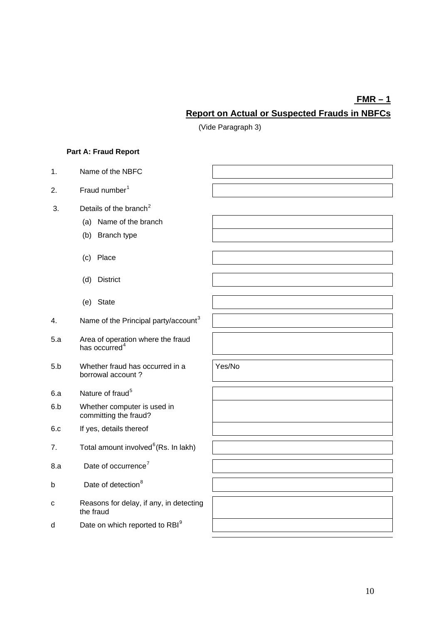# **FMR – 1 Report on Actual or Suspected Frauds in NBFCs**

(Vide Paragraph 3)

## **Part A: Fraud Report**

| 1.  | Name of the NBFC                                               |        |
|-----|----------------------------------------------------------------|--------|
| 2.  | Fraud number <sup>1</sup>                                      |        |
| 3.  | Details of the branch <sup>2</sup>                             |        |
|     | (a) Name of the branch                                         |        |
|     | (b) Branch type                                                |        |
|     | (c) Place                                                      |        |
|     | (d)<br><b>District</b>                                         |        |
|     | (e) State                                                      |        |
| 4.  | Name of the Principal party/account <sup>3</sup>               |        |
| 5.a | Area of operation where the fraud<br>has occurred <sup>4</sup> |        |
| 5.b | Whether fraud has occurred in a<br>borrowal account?           | Yes/No |
| 6.a | Nature of fraud <sup>5</sup>                                   |        |
| 6.b | Whether computer is used in<br>committing the fraud?           |        |
| 6.c | If yes, details thereof                                        |        |
| 7.  | Total amount involved <sup>6</sup> (Rs. In lakh)               |        |
| 8.a | Date of occurrence <sup>7</sup>                                |        |
| b   | Date of detection <sup>8</sup>                                 |        |
| C   | Reasons for delay, if any, in detecting<br>the fraud           |        |
| d   | Date on which reported to RBI <sup>9</sup>                     |        |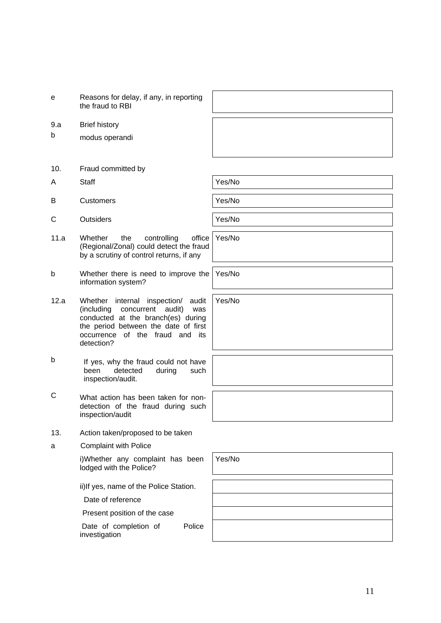| е | Reasons for delay, if any, in reporting |
|---|-----------------------------------------|
|   | the fraud to RBI                        |

- 9.a Brief history
- b modus operandi
- 10. Fraud committed by
- A Staff Yes/No

B Customers **Yes/No** 

- C Outsiders **Yes/No** 
	-
- 11.a Whether the controlling office (Regional/Zonal) could detect the fraud by a scrutiny of control returns, if any
- b Whether there is need to improve the information system?
- 12.a Whether internal inspection/ audit (including concurrent audit) was conducted at the branch(es) during the period between the date of first occurrence of the fraud and its detection?
- b If yes, why the fraud could not have<br>been detected during such been detected during such inspection/audit.
- C What action has been taken for nondetection of the fraud during such inspection/audit
- 13. Action taken/proposed to be taken
- a Complaint with Police

i)Whether any complaint has been lodged with the Police?

ii)If yes, name of the Police Station.

Date of reference

Present position of the case

Date of completion of Police investigation

Yes/No

Yes/No

Yes/No

Yes/No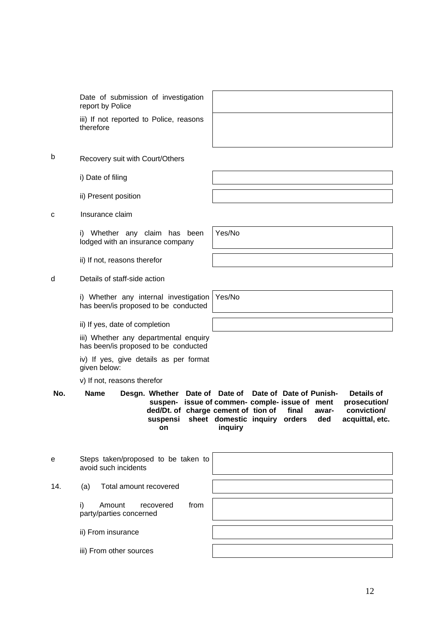Date of submission of investigation report by Police

iii) If not reported to Police, therefore

| , reasons |  |  |
|-----------|--|--|
|           |  |  |
|           |  |  |
|           |  |  |

- b Recovery suit with Court/Others
	- i) Date of filing
	- ii) Present position
- c Insurance claim

i) Whether any claim has been lodged with an insurance company

ii) If not, reasons therefor

#### d Details of staff-side action

i) Whether any internal investigation has been/is proposed to be conducted Yes/No

ii) If yes, date of completion

iii) Whether any departmental enquiry has been/is proposed to be conducted

iv) If yes, give details as per format given below:

v) If not, reasons therefor

No. Name Desgn. Whether Date of Date of Date of Date of Punish**suspen-issue of commen-comple-issue of ment ded/Dt. of charge cement of tion of final suspensi sheet domestic inquiry orders on inquiry awarded Details of prosecution/ conviction/ acquittal, etc.**

| е   | Steps taken/proposed to be taken to<br>avoid such incidents  |  |
|-----|--------------------------------------------------------------|--|
| 14. | Total amount recovered<br>(a)                                |  |
|     | i)<br>Amount<br>recovered<br>from<br>party/parties concerned |  |
|     | ii) From insurance                                           |  |
|     | iii) From other sources                                      |  |

Yes/No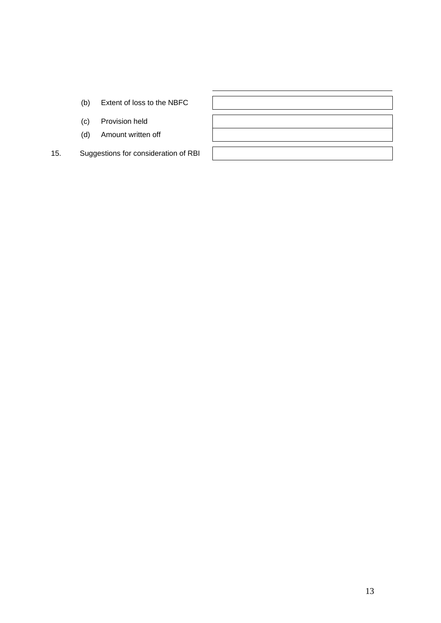- (b) Extent of loss to the NBFC
- (c) Provision held
- (d) Amount written off
- 15. Suggestions for consideration of RBI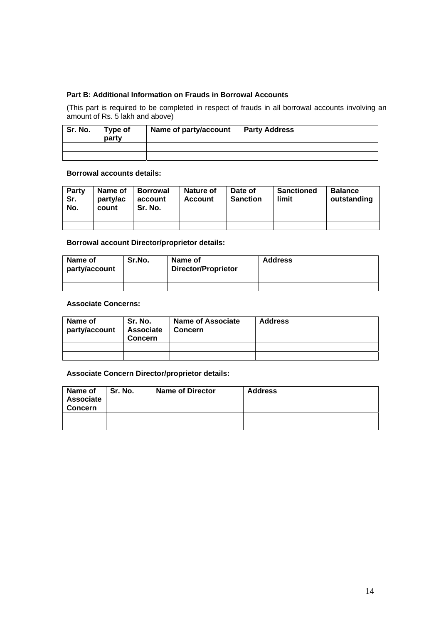## **Part B: Additional Information on Frauds in Borrowal Accounts**

(This part is required to be completed in respect of frauds in all borrowal accounts involving an amount of Rs. 5 lakh and above)

| Sr. No. | Type of<br>party | Name of party/account | <b>Party Address</b> |
|---------|------------------|-----------------------|----------------------|
|         |                  |                       |                      |
|         |                  |                       |                      |

#### **Borrowal accounts details:**

| Party<br>Sr.<br>No. | Name of<br>party/ac<br>count | <b>Borrowal</b><br>account<br>Sr. No. | <b>Nature of</b><br><b>Account</b> | Date of<br><b>Sanction</b> | <b>Sanctioned</b><br>limit | <b>Balance</b><br>outstanding |
|---------------------|------------------------------|---------------------------------------|------------------------------------|----------------------------|----------------------------|-------------------------------|
|                     |                              |                                       |                                    |                            |                            |                               |
|                     |                              |                                       |                                    |                            |                            |                               |

#### **Borrowal account Director/proprietor details:**

| Name of<br>party/account | Sr.No. | Name of<br><b>Director/Proprietor</b> | <b>Address</b> |
|--------------------------|--------|---------------------------------------|----------------|
|                          |        |                                       |                |
|                          |        |                                       |                |

## **Associate Concerns:**

| Name of<br>party/account | Sr. No.<br><b>Associate</b><br><b>Concern</b> | <b>Name of Associate</b><br>Concern | <b>Address</b> |
|--------------------------|-----------------------------------------------|-------------------------------------|----------------|
|                          |                                               |                                     |                |
|                          |                                               |                                     |                |

#### **Associate Concern Director/proprietor details:**

| Name of<br><b>Associate</b><br><b>Concern</b> | Sr. No. | <b>Name of Director</b> | <b>Address</b> |
|-----------------------------------------------|---------|-------------------------|----------------|
|                                               |         |                         |                |
|                                               |         |                         |                |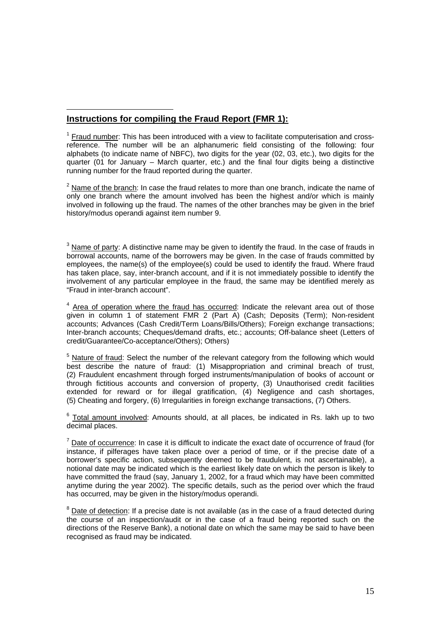## 1 **Instructions for compiling the Fraud Report (FMR 1):**

 $1$  Fraud number: This has been introduced with a view to facilitate computerisation and crossreference. The number will be an alphanumeric field consisting of the following: four alphabets (to indicate name of NBFC), two digits for the year (02, 03, etc.), two digits for the quarter (01 for January – March quarter, etc.) and the final four digits being a distinctive running number for the fraud reported during the quarter.

 $2$  Name of the branch: In case the fraud relates to more than one branch, indicate the name of only one branch where the amount involved has been the highest and/or which is mainly involved in following up the fraud. The names of the other branches may be given in the brief history/modus operandi against item number 9.

 $3$  Name of party: A distinctive name may be given to identify the fraud. In the case of frauds in borrowal accounts, name of the borrowers may be given. In the case of frauds committed by employees, the name(s) of the employee(s) could be used to identify the fraud. Where fraud has taken place, say, inter-branch account, and if it is not immediately possible to identify the involvement of any particular employee in the fraud, the same may be identified merely as "Fraud in inter-branch account".

<sup>4</sup> Area of operation where the fraud has occurred: Indicate the relevant area out of those given in column 1 of statement FMR 2 (Part A) (Cash; Deposits (Term); Non-resident accounts; Advances (Cash Credit/Term Loans/Bills/Others); Foreign exchange transactions; Inter-branch accounts; Cheques/demand drafts, etc.; accounts; Off-balance sheet (Letters of credit/Guarantee/Co-acceptance/Others); Others)

<sup>5</sup> Nature of fraud: Select the number of the relevant category from the following which would best describe the nature of fraud: (1) Misappropriation and criminal breach of trust, (2) Fraudulent encashment through forged instruments/manipulation of books of account or through fictitious accounts and conversion of property, (3) Unauthorised credit facilities extended for reward or for illegal gratification, (4) Negligence and cash shortages, (5) Cheating and forgery, (6) Irregularities in foreign exchange transactions, (7) Others.

 $6$  Total amount involved: Amounts should, at all places, be indicated in Rs. lakh up to two decimal places.

 $<sup>7</sup>$  Date of occurrence: In case it is difficult to indicate the exact date of occurrence of fraud (for</sup> instance, if pilferages have taken place over a period of time, or if the precise date of a borrower's specific action, subsequently deemed to be fraudulent, is not ascertainable), a notional date may be indicated which is the earliest likely date on which the person is likely to have committed the fraud (say, January 1, 2002, for a fraud which may have been committed anytime during the year 2002). The specific details, such as the period over which the fraud has occurred, may be given in the history/modus operandi.

 $8$  Date of detection: If a precise date is not available (as in the case of a fraud detected during the course of an inspection/audit or in the case of a fraud being reported such on the directions of the Reserve Bank), a notional date on which the same may be said to have been recognised as fraud may be indicated.